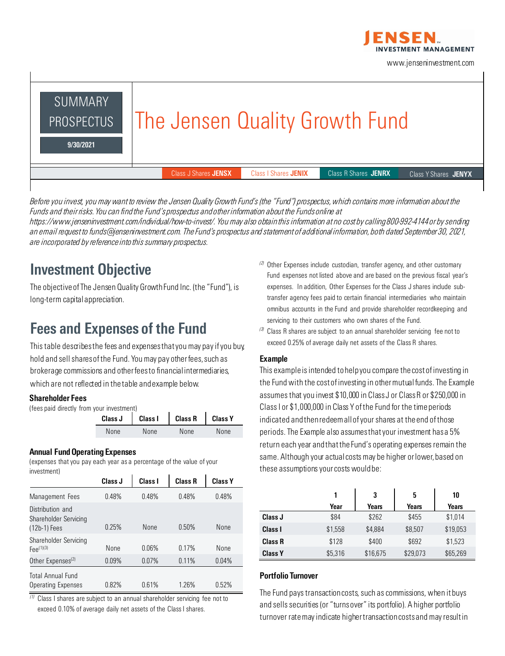

www.jenseninvestment.com



*Before you invest, you may want to review the Jensen Quality Growth Fund's (the "Fund") prospectus, which contains more information about the Funds and their risks. You can find the Fund's prospectus and other information about the Funds online at https://www.jenseninvestment.com/individual/how-to-invest/. You may also obtain this information at no cost by calling 800-992-4144 or by sending an email request to funds@jenseninvestment.com. The Fund's prospectus and statement of additional information, both dated September 30, 2021, are incorporated by reference into this summary prospectus.*

### Investment Objective

The objective of The Jensen Quality Growth Fund Inc. (the "Fund"), is long-term capital appreciation.

### Fees and Expenses of the Fund

This table describes the fees and expenses that you may pay if you buy, hold and sell shares of the Fund. You may pay other fees, such as brokerage commissions and other fees to financial intermediaries, which are not reflected in the table and example below.

#### Shareholder Fees

(fees paid directly from your investment)

|      |      | Class J   Class I   Class R   Class Y |      |
|------|------|---------------------------------------|------|
| None | None | None                                  | None |

#### Annual Fund Operating Expenses

(expenses that you pay each year as a percentage of the value of your investment)

|                                                           | Class J | Class I | <b>Class R</b> | <b>Class Y</b> |
|-----------------------------------------------------------|---------|---------|----------------|----------------|
| Management Fees                                           | 0.48%   | 0.48%   | 0.48%          | 0.48%          |
| Distribution and<br>Shareholder Servicing<br>(12b-1) Fees | 0.25%   | None    | 0.50%          | None           |
| Shareholder Servicing<br>$Fee^{(1)(3)}$                   | None    | 0.06%   | 0.17%          | None           |
| Other Expenses <sup>(2)</sup>                             | 0.09%   | 0.07%   | 0.11%          | 0.04%          |
| <b>Total Annual Fund</b><br><b>Operating Expenses</b>     | 0.82%   | 0.61%   | 1.26%          | 0.52%          |

*(1)* Class I shares are subject to an annual shareholder servicing fee not to exceed 0.10% of average daily net assets of the Class I shares.

- *(2)* Other Expenses include custodian, transfer agency, and other customary Fund expenses not listed above and are based on the previous fiscal year's expenses. In addition, Other Expenses for the Class J shares include subtransfer agency fees paid to certain financial intermediaries who maintain omnibus accounts in the Fund and provide shareholder recordkeeping and servicing to their customers who own shares of the Fund.
- *(3)* Class R shares are subject to an annual shareholder servicing fee not to exceed 0.25% of average daily net assets of the Class R shares.

#### Example

This example is intended to help you compare the cost of investing in the Fund with the cost of investing in other mutual funds. The Example assumes that you invest \$10,000 in Class J or Class R or \$250,000 in Class I or \$1,000,000 in Class Y of the Fund for the time periods indicated and then redeem all of your shares at the end of those periods. The Example also assumes that your investment has a 5% return each year and that the Fund's operating expenses remain the same. Although your actual costs may be higher or lower, based on these assumptions your costs would be:

|                | 1       | 3        | 5        | 10       |
|----------------|---------|----------|----------|----------|
|                | Year    | Years    | Years    | Years    |
| Class J        | \$84    | \$262    | \$455    | \$1,014  |
| Class I        | \$1,558 | \$4,884  | \$8,507  | \$19,053 |
| <b>Class R</b> | \$128   | \$400    | \$692    | \$1,523  |
| <b>Class Y</b> | \$5,316 | \$16,675 | \$29,073 | \$65,269 |

#### Portfolio Turnover

The Fund pays transaction costs, such as commissions, when it buys and sells securities (or "turns over" its portfolio). A higher portfolio turnover rate may indicate higher transaction costs and may result in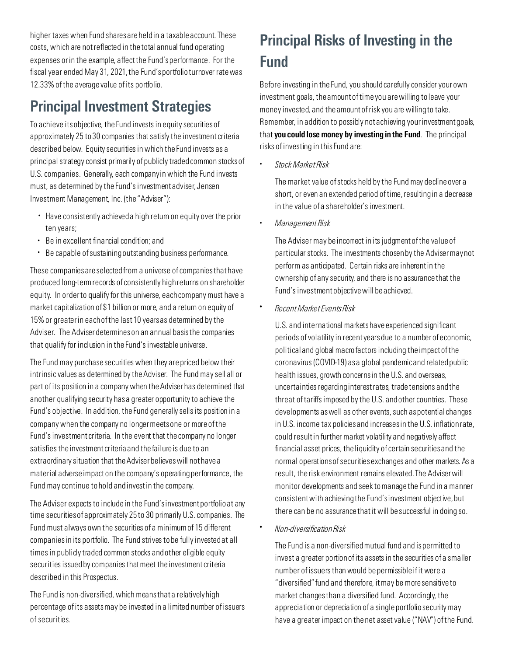higher taxes when Fund shares are held in a taxable account. These costs, which are not reflected in the total annual fund operating expenses or in the example, affect the Fund's performance. For the fiscal year ended May 31, 2021, the Fund's portfolio turnover rate was 12.33% of the average value of its portfolio.

### Principal Investment Strategies

To achieve its objective, the Fund invests in equity securities of approximately 25 to 30 companies that satisfy the investment criteria described below. Equity securities in which the Fund invests as a principal strategy consist primarily of publicly traded common stocks of U.S. companies. Generally, each company in which the Fund invests must, as determined by the Fund's investment adviser, Jensen Investment Management, Inc. (the "Adviser"):

- *•* Have consistently achieved a high return on equity over the prior ten years;
- *•* Be in excellent financial condition; and
- *•* Be capable of sustaining outstanding business performance.

These companies are selected from a universe of companies that have produced long-term records of consistently high returns on shareholder equity. In order to qualify for this universe, each company must have a market capitalization of \$1 billion or more, and a return on equity of 15% or greater in each of the last 10 years as determined bythe Adviser. The Adviser determines on an annual basis the companies that qualify for inclusion in the Fund's investable universe.

The Fund may purchase securities when they are priced below their intrinsic values as determined by the Adviser. The Fund may sell all or part of its position in a company when the Adviser has determined that another qualifying security has a greater opportunity to achieve the Fund's objective. In addition, the Fund generally sells its position in a company when the company no longer meets one or more of the Fund's investment criteria. In the event that the company no longer satisfies the investment criteria and the failure is due to an extraordinary situation that the Adviser believes will not have a material adverse impact on the company's operating performance, the Fund may continue to hold and invest in the company.

The Adviser expects to include in the Fund's investment portfolio at any time securities of approximately 25 to 30 primarily U.S. companies. The Fund must always own the securities of a minimum of 15 different companies in its portfolio. The Fund strives to be fully invested at all times in publicly traded common stocks and other eligible equity securities issued by companies that meet the investment criteria described in this Prospectus.

The Fund is non-diversified, which means that a relatively high percentage of its assets may be invested in a limited number of issuers of securities.

# Principal Risks of Investing in the Fund

Before investing in the Fund, you should carefully consider your own investment goals, the amount of time you are willing to leave your money invested, and the amount of risk you are willing to take. Remember, in addition to possibly not achieving your investment goals, that you could lose money by investing in the Fund. The principal risks of investing in this Fund are:

*• Stock Market Risk*

The market value of stocks held by the Fund may decline over a short, or even an extended period of time, resulting in a decrease in the value of a shareholder's investment.

*• Management Risk*

The Adviser may be incorrect in its judgment of the value of particular stocks. The investments chosen by the Adviser may not perform as anticipated. Certain risks are inherent in the ownership of any security, and there is no assurance that the Fund's investment objective will be achieved.

• *Recent Market Events Risk*

U.S. and international markets have experienced significant periods of volatility in recent years due to a number of economic, political and global macro factors including the impact of the coronavirus (COVID-19) as a global pandemic and related public health issues, growth concerns in the U.S. and overseas, uncertainties regarding interest rates, trade tensions and the threat of tariffs imposed by the U.S. and other countries. These developments as well as other events, such as potential changes in U.S. income tax policies and increases in the U.S. inflation rate, could result in further market volatility and negatively affect financial asset prices, the liquidity of certain securities and the normal operations of securities exchanges and other markets. As a result, the risk environment remains elevated. The Adviser will monitor developments and seek to manage the Fund in a manner consistent with achieving the Fund's investment objective, but there can be no assurance that it will be successful in doing so.

• *Non-diversification Risk*

The Fund is a non-diversified mutual fund and is permitted to invest a greater portion of its assets in the securities of a smaller number of issuers than would be permissible if it were a "diversified" fund and therefore, it may be more sensitive to market changes than a diversified fund. Accordingly, the appreciation or depreciation of a single portfolio security may have a greater impact on the net asset value ("NAV") of the Fund.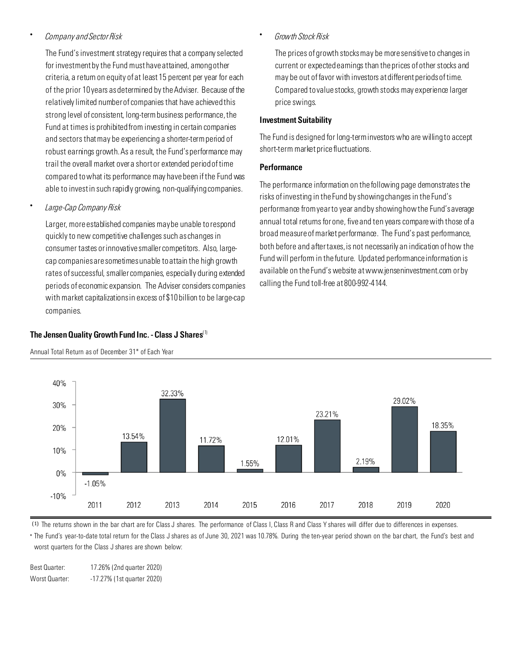#### • *Company and Sector Risk*

The Fund's investment strategy requires that a company selected for investment by the Fund must have attained, among other criteria, a return on equity of at least 15 percent per year for each of the prior 10 years as determined by the Adviser. Because of the relatively limited number of companies that have achieved this strong level of consistent, long-term business performance, the Fund at times is prohibited from investing in certain companies and sectors that may be experiencing a shorter-term period of robust earnings growth. As a result, the Fund's performance may trail the overall market over a short or extended period of time compared to what its performance may have been if the Fund was able to invest in such rapidly growing, non-qualifying companies.

• *Large-Cap Company Risk*

Larger, more established companies may be unable to respond quickly to new competitive challenges such as changes in consumer tastes or innovative smaller competitors. Also, largecap companies are sometimes unable to attain the high growth rates of successful, smaller companies, especially during extended periods of economic expansion. The Adviser considers companies with market capitalizations in excess of \$10 billion to be large-cap companies.

#### The Jensen Quality Growth Fund Inc. - Class J Shares<sup>(1)</sup>



Annual Total Return as of December 31\* of Each Year

• *Growth Stock Risk*

The prices of growth stocks may be more sensitive to changes in current or expected earnings than the prices of other stocks and may be out of favor with investors at different periods of time. Compared to value stocks, growth stocks may experience larger price swings.

#### Investment Suitability

The Fund is designed for long-term investors who are willing to accept short-term market price fluctuations.

#### **Performance**

The performance information on the following page demonstrates the risks of investing in the Fund by showing changes in the Fund's performance from year to year and by showing how the Fund's average annual total returns for one, five and ten years compare with those of a broad measure of market performance. The Fund's past performance, both before and after taxes,is not necessarily an indication of how the Fund will perform in the future. Updated performance information is available on the Fund's website at www.jenseninvestment.com or by calling the Fund toll-free at 800-992-4144.

(1) The returns shown in the bar chart are for Class J shares. The performance of Class I, Class R and Class Y shares will differ due to differences in expenses.

∗ The Fund's year-to-date total return for the Class J shares as of June 30, 2021 was 10.78%. During the ten-year period shown on the bar chart, the Fund's best and worst quarters for the Class J shares are shown below:

Best Quarter: 17.26% (2nd quarter 2020) Worst Quarter: -17.27% (1st quarter 2020)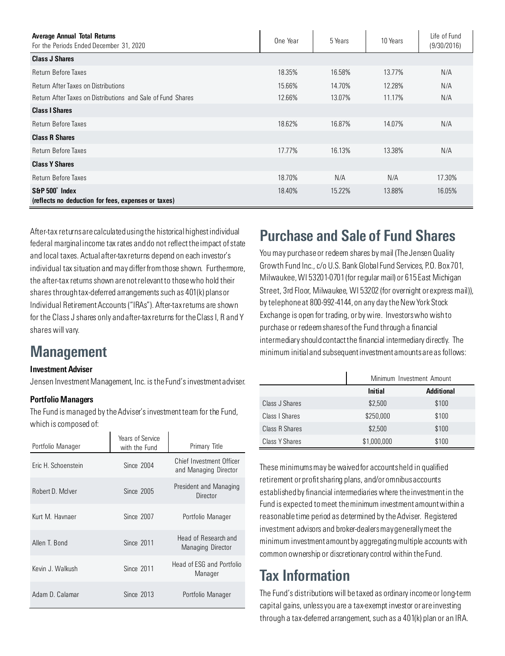| <b>Average Annual Total Returns</b><br>For the Periods Ended December 31, 2020 | One Year | 5 Years | 10 Years | Life of Fund<br>(9/30/2016) |
|--------------------------------------------------------------------------------|----------|---------|----------|-----------------------------|
| <b>Class J Shares</b>                                                          |          |         |          |                             |
| Return Before Taxes                                                            | 18.35%   | 16.58%  | 13.77%   | N/A                         |
| <b>Return After Taxes on Distributions</b>                                     | 15.66%   | 14.70%  | 12.28%   | N/A                         |
| Return After Taxes on Distributions and Sale of Fund Shares                    | 12.66%   | 13.07%  | 11.17%   | N/A                         |
| <b>Class I Shares</b>                                                          |          |         |          |                             |
| Return Before Taxes                                                            | 18.62%   | 16.87%  | 14.07%   | N/A                         |
| <b>Class R Shares</b>                                                          |          |         |          |                             |
| <b>Return Before Taxes</b>                                                     | 17.77%   | 16.13%  | 13.38%   | N/A                         |
| <b>Class Y Shares</b>                                                          |          |         |          |                             |
| Return Before Taxes                                                            | 18.70%   | N/A     | N/A      | 17.30%                      |
| S&P 500° Index<br>(reflects no deduction for fees, expenses or taxes)          | 18.40%   | 15.22%  | 13.88%   | 16.05%                      |

After-tax returns are calculated using the historical highest individual federal marginal income tax rates and do not reflect the impact of state and local taxes. Actual after-tax returns depend on each investor's individual tax situation and may differ from those shown. Furthermore, the after-tax returns shown are not relevant to those who hold their shares through tax-deferred arrangements such as 401(k) plans or Individual Retirement Accounts ("IRAs"). After-tax returns are shown for the Class J shares only and after-tax returns for the Class I, R and Y shares will vary.

### **Management**

#### Investment Adviser

Jensen Investment Management, Inc. is the Fund's investment adviser.

#### Portfolio Managers

The Fund is managed by the Adviser's investment team for the Fund, which is composed of:

| Portfolio Manager   | Years of Service<br>with the Fund | Primary Title                                     |
|---------------------|-----------------------------------|---------------------------------------------------|
| Eric H. Schoenstein | Since 2004                        | Chief Investment Officer<br>and Managing Director |
| Robert D. McIver    | Since 2005                        | President and Managing<br>Director                |
| Kurt M. Havnaer     | Since 2007                        | Portfolio Manager                                 |
| Allen T. Bond       | Since 2011                        | Head of Research and<br>Managing Director         |
| Kevin J. Walkush    | <b>Since 2011</b>                 | Head of ESG and Portfolio<br>Manager              |
| Adam D. Calamar     | Since 2013                        | Portfolio Manager                                 |

### Purchase and Sale of Fund Shares

You may purchase or redeem shares by mail (The Jensen Quality Growth Fund Inc., c/o U.S. Bank Global Fund Services, P.O. Box 701, Milwaukee, WI 53201-0701 (for regular mail) or 615 East Michigan Street, 3rd Floor, Milwaukee, WI 53202 (for overnight or express mail)), by telephone at 800-992-4144, on any day the New York Stock Exchange is open for trading, or by wire. Investors who wish to purchase or redeem shares of the Fund through a financial intermediary should contact the financial intermediary directly. The minimum initial and subsequent investment amounts are as follows:

|                | Minimum Investment Amount |                   |  |
|----------------|---------------------------|-------------------|--|
|                | <b>Initial</b>            | <b>Additional</b> |  |
| Class J Shares | \$2,500                   | \$100             |  |
| Class   Shares | \$250,000                 | \$100             |  |
| Class R Shares | \$2,500                   | \$100             |  |
| Class Y Shares | \$1,000,000               | \$100             |  |

These minimums may be waived for accounts held in qualified retirement or profit sharing plans, and/or omnibus accounts established by financial intermediaries where the investment in the Fund is expected to meet the minimum investment amount within a reasonable time period as determined by the Adviser. Registered investment advisors and broker-dealers may generally meet the minimum investment amount by aggregating multiple accounts with common ownership or discretionary control within the Fund.

# Tax Information

The Fund's distributions will be taxed as ordinary income or long-term capital gains, unless you are a tax-exempt investor or are investing through a tax-deferred arrangement, such as a 401(k) plan or an IRA.